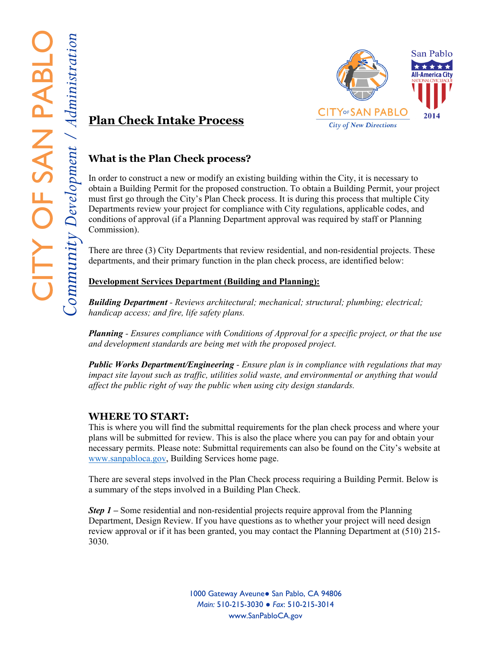

# **Plan Check Intake Process**

# **What is the Plan Check process?**

In order to construct a new or modify an existing building within the City, it is necessary to obtain a Building Permit for the proposed construction. To obtain a Building Permit, your project must first go through the City's Plan Check process. It is during this process that multiple City Departments review your project for compliance with City regulations, applicable codes, and conditions of approval (if a Planning Department approval was required by staff or Planning Commission).

There are three (3) City Departments that review residential, and non-residential projects. These departments, and their primary function in the plan check process, are identified below:

## **Development Services Department (Building and Planning):**

*Building Department - Reviews architectural; mechanical; structural; plumbing; electrical; handicap access; and fire, life safety plans.* 

*Planning - Ensures compliance with Conditions of Approval for a specific project, or that the use and development standards are being met with the proposed project.* 

*Public Works Department/Engineering - Ensure plan is in compliance with regulations that may impact site layout such as traffic, utilities solid waste, and environmental or anything that would affect the public right of way the public when using city design standards.* 

## **WHERE TO START:**

This is where you will find the submittal requirements for the plan check process and where your plans will be submitted for review. This is also the place where you can pay for and obtain your necessary permits. Please note: Submittal requirements can also be found on the City's website at www.sanpabloca.gov, Building Services home page.

There are several steps involved in the Plan Check process requiring a Building Permit. Below is a summary of the steps involved in a Building Plan Check.

*Step 1 – Some residential and non-residential projects require approval from the Planning* Department, Design Review. If you have questions as to whether your project will need design review approval or if it has been granted, you may contact the Planning Department at (510) 215- 3030.

> **1000 Gateway Aveune● San Pablo, CA 94806** *Main:* 510-215-3030 ● *Fax*: 510-215-3014 www.SanPabloCA.gov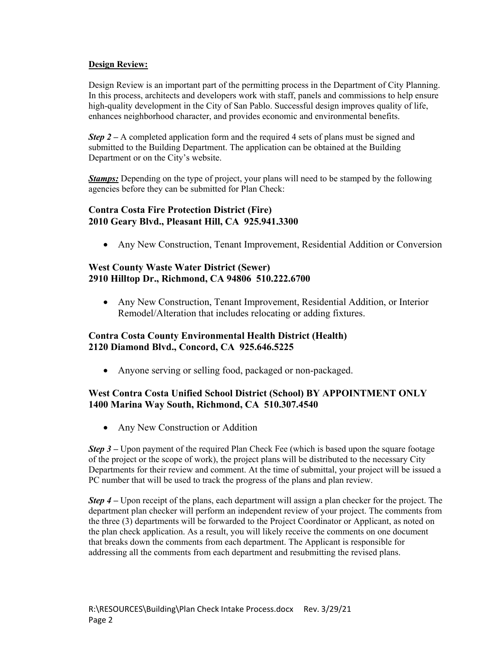#### **Design Review:**

Design Review is an important part of the permitting process in the Department of City Planning. In this process, architects and developers work with staff, panels and commissions to help ensure high-quality development in the City of San Pablo. Successful design improves quality of life, enhances neighborhood character, and provides economic and environmental benefits.

*Step 2 – A completed application form and the required 4 sets of plans must be signed and* submitted to the Building Department. The application can be obtained at the Building Department or on the City's website.

*Stamps:* Depending on the type of project, your plans will need to be stamped by the following agencies before they can be submitted for Plan Check:

#### **Contra Costa Fire Protection District (Fire) 2010 Geary Blvd., Pleasant Hill, CA 925.941.3300**

Any New Construction, Tenant Improvement, Residential Addition or Conversion

## **West County Waste Water District (Sewer) 2910 Hilltop Dr., Richmond, CA 94806 510.222.6700**

 Any New Construction, Tenant Improvement, Residential Addition, or Interior Remodel/Alteration that includes relocating or adding fixtures.

## **Contra Costa County Environmental Health District (Health) 2120 Diamond Blvd., Concord, CA 925.646.5225**

Anyone serving or selling food, packaged or non-packaged.

#### **West Contra Costa Unified School District (School) BY APPOINTMENT ONLY 1400 Marina Way South, Richmond, CA 510.307.4540**

Any New Construction or Addition

*Step 3* – Upon payment of the required Plan Check Fee (which is based upon the square footage of the project or the scope of work), the project plans will be distributed to the necessary City Departments for their review and comment. At the time of submittal, your project will be issued a PC number that will be used to track the progress of the plans and plan review.

*Step 4* – Upon receipt of the plans, each department will assign a plan checker for the project. The department plan checker will perform an independent review of your project. The comments from the three (3) departments will be forwarded to the Project Coordinator or Applicant, as noted on the plan check application. As a result, you will likely receive the comments on one document that breaks down the comments from each department. The Applicant is responsible for addressing all the comments from each department and resubmitting the revised plans.